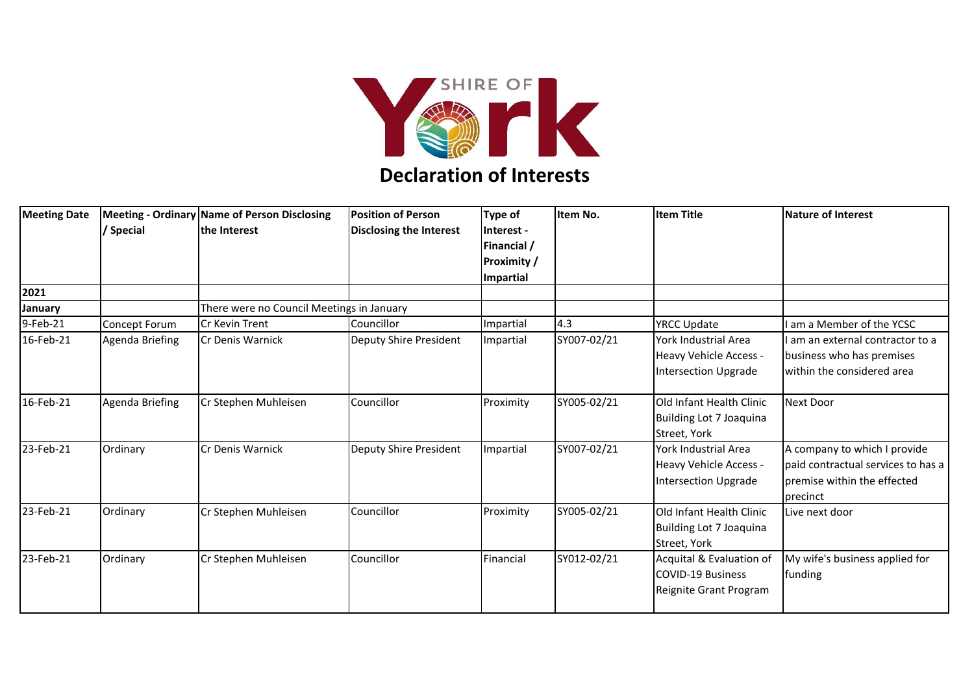

## **Declaration of Interests**

| <b>Meeting Date</b> | / Special       | Meeting - Ordinary Name of Person Disclosing<br>the Interest | <b>Position of Person</b><br><b>Disclosing the Interest</b> | Type of<br>Interest -<br>Financial /<br><b>Proximity /</b><br>Impartial | Item No.    | <b>Item Title</b>                                                              | <b>Nature of Interest</b>                                                                                     |
|---------------------|-----------------|--------------------------------------------------------------|-------------------------------------------------------------|-------------------------------------------------------------------------|-------------|--------------------------------------------------------------------------------|---------------------------------------------------------------------------------------------------------------|
| 2021                |                 |                                                              |                                                             |                                                                         |             |                                                                                |                                                                                                               |
| January             |                 | There were no Council Meetings in January                    |                                                             |                                                                         |             |                                                                                |                                                                                                               |
| 9-Feb-21            | Concept Forum   | <b>Cr Kevin Trent</b>                                        | Councillor                                                  | Impartial                                                               | 4.3         | <b>YRCC Update</b>                                                             | am a Member of the YCSC                                                                                       |
| 16-Feb-21           | Agenda Briefing | Cr Denis Warnick                                             | Deputy Shire President                                      | Impartial                                                               | SY007-02/21 | York Industrial Area<br>Heavy Vehicle Access -<br>Intersection Upgrade         | am an external contractor to a<br>business who has premises<br>within the considered area                     |
| 16-Feb-21           | Agenda Briefing | Cr Stephen Muhleisen                                         | Councillor                                                  | Proximity                                                               | SY005-02/21 | Old Infant Health Clinic<br>Building Lot 7 Joaquina<br>Street, York            | Next Door                                                                                                     |
| 23-Feb-21           | Ordinary        | Cr Denis Warnick                                             | Deputy Shire President                                      | Impartial                                                               | SY007-02/21 | York Industrial Area<br>Heavy Vehicle Access -<br>Intersection Upgrade         | A company to which I provide<br>paid contractual services to has a<br>premise within the effected<br>precinct |
| 23-Feb-21           | Ordinary        | Cr Stephen Muhleisen                                         | Councillor                                                  | Proximity                                                               | SY005-02/21 | Old Infant Health Clinic<br>Building Lot 7 Joaquina<br>Street, York            | Live next door                                                                                                |
| 23-Feb-21           | Ordinary        | Cr Stephen Muhleisen                                         | Councillor                                                  | Financial                                                               | SY012-02/21 | Acquital & Evaluation of<br><b>COVID-19 Business</b><br>Reignite Grant Program | My wife's business applied for<br>funding                                                                     |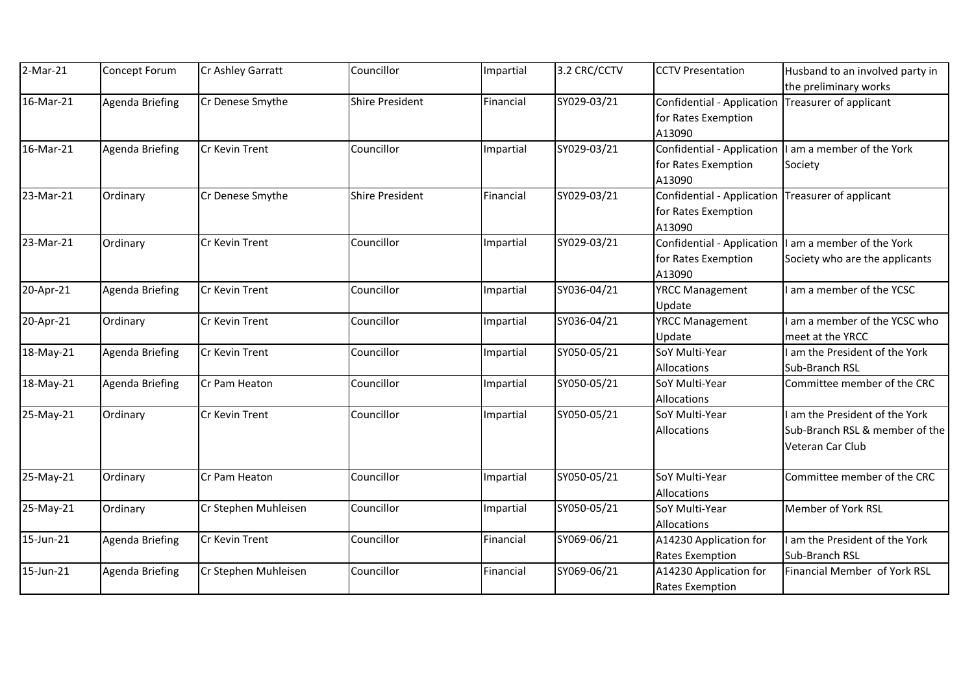| $2-Mar-21$ | Concept Forum   | Cr Ashley Garratt    | Councillor             | Impartial | 3.2 CRC/CCTV | <b>CCTV Presentation</b>   | Husband to an involved party in |
|------------|-----------------|----------------------|------------------------|-----------|--------------|----------------------------|---------------------------------|
|            |                 |                      |                        |           |              |                            | the preliminary works           |
| 16-Mar-21  | Agenda Briefing | Cr Denese Smythe     | <b>Shire President</b> | Financial | SY029-03/21  | Confidential - Application | Treasurer of applicant          |
|            |                 |                      |                        |           |              | for Rates Exemption        |                                 |
|            |                 |                      |                        |           |              | A13090                     |                                 |
| 16-Mar-21  | Agenda Briefing | Cr Kevin Trent       | Councillor             | Impartial | SY029-03/21  | Confidential - Application | I am a member of the York       |
|            |                 |                      |                        |           |              | for Rates Exemption        | Society                         |
|            |                 |                      |                        |           |              | A13090                     |                                 |
| 23-Mar-21  | Ordinary        | Cr Denese Smythe     | <b>Shire President</b> | Financial | SY029-03/21  | Confidential - Application | Treasurer of applicant          |
|            |                 |                      |                        |           |              | for Rates Exemption        |                                 |
|            |                 |                      |                        |           |              | A13090                     |                                 |
| 23-Mar-21  | Ordinary        | Cr Kevin Trent       | Councillor             | Impartial | SY029-03/21  | Confidential - Application | I am a member of the York       |
|            |                 |                      |                        |           |              | for Rates Exemption        | Society who are the applicants  |
|            |                 |                      |                        |           |              | A13090                     |                                 |
| 20-Apr-21  | Agenda Briefing | Cr Kevin Trent       | Councillor             | Impartial | SY036-04/21  | <b>YRCC Management</b>     | am a member of the YCSC         |
|            |                 |                      |                        |           |              | Update                     |                                 |
| 20-Apr-21  | Ordinary        | Cr Kevin Trent       | Councillor             | Impartial | SY036-04/21  | <b>YRCC Management</b>     | am a member of the YCSC who     |
|            |                 |                      |                        |           |              | Update                     | meet at the YRCC                |
| 18-May-21  | Agenda Briefing | Cr Kevin Trent       | Councillor             | Impartial | SY050-05/21  | SoY Multi-Year             | am the President of the York    |
|            |                 |                      |                        |           |              | Allocations                | Sub-Branch RSL                  |
| 18-May-21  | Agenda Briefing | Cr Pam Heaton        | Councillor             | Impartial | SY050-05/21  | SoY Multi-Year             | Committee member of the CRC     |
|            |                 |                      |                        |           |              | Allocations                |                                 |
| 25-May-21  | Ordinary        | Cr Kevin Trent       | Councillor             | Impartial | SY050-05/21  | SoY Multi-Year             | am the President of the York    |
|            |                 |                      |                        |           |              | Allocations                | Sub-Branch RSL & member of the  |
|            |                 |                      |                        |           |              |                            | Veteran Car Club                |
| 25-May-21  | Ordinary        | Cr Pam Heaton        | Councillor             | Impartial | SY050-05/21  | SoY Multi-Year             | Committee member of the CRC     |
|            |                 |                      |                        |           |              | Allocations                |                                 |
| 25-May-21  | Ordinary        | Cr Stephen Muhleisen | Councillor             | Impartial | SY050-05/21  | SoY Multi-Year             | Member of York RSL              |
|            |                 |                      |                        |           |              | Allocations                |                                 |
| 15-Jun-21  | Agenda Briefing | Cr Kevin Trent       | Councillor             | Financial | SY069-06/21  | A14230 Application for     | am the President of the York    |
|            |                 |                      |                        |           |              | <b>Rates Exemption</b>     | Sub-Branch RSL                  |
| 15-Jun-21  | Agenda Briefing | Cr Stephen Muhleisen | Councillor             | Financial | SY069-06/21  | A14230 Application for     | Financial Member of York RSL    |
|            |                 |                      |                        |           |              | <b>Rates Exemption</b>     |                                 |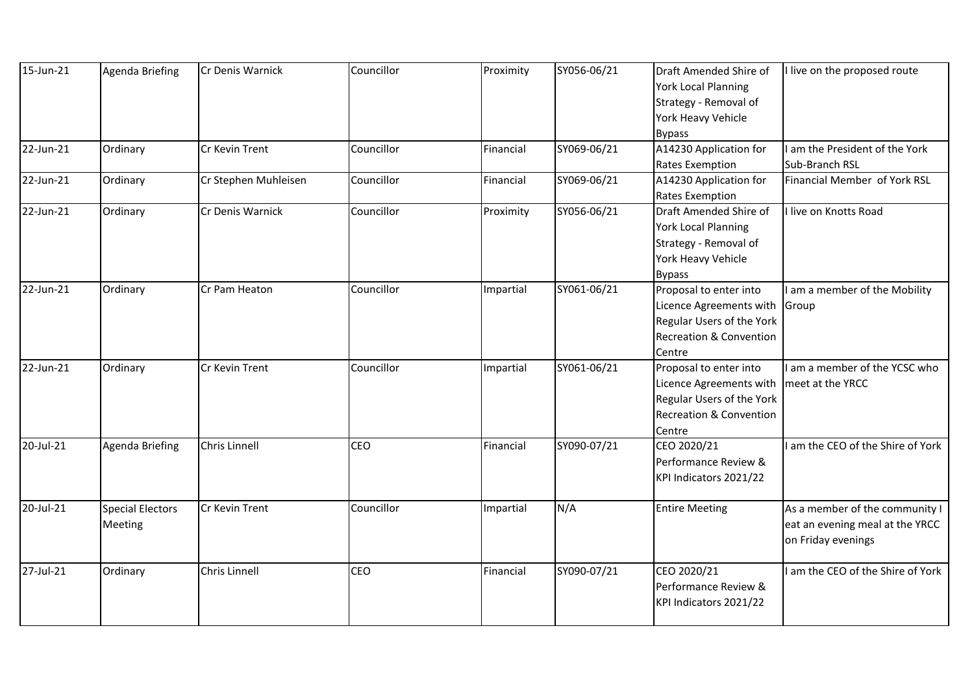| 15-Jun-21    | Agenda Briefing                           | Cr Denis Warnick     | Councillor | Proximity | SY056-06/21 | Draft Amended Shire of<br><b>York Local Planning</b><br>Strategy - Removal of<br>York Heavy Vehicle<br><b>Bypass</b>           | I live on the proposed route                                                            |
|--------------|-------------------------------------------|----------------------|------------|-----------|-------------|--------------------------------------------------------------------------------------------------------------------------------|-----------------------------------------------------------------------------------------|
| $22$ -Jun-21 | Ordinary                                  | Cr Kevin Trent       | Councillor | Financial | SY069-06/21 | A14230 Application for                                                                                                         | am the President of the York                                                            |
|              |                                           |                      |            |           |             | <b>Rates Exemption</b>                                                                                                         | Sub-Branch RSL                                                                          |
| 22-Jun-21    | Ordinary                                  | Cr Stephen Muhleisen | Councillor | Financial | SY069-06/21 | A14230 Application for<br><b>Rates Exemption</b>                                                                               | Financial Member of York RSL                                                            |
| 22-Jun-21    | Ordinary                                  | Cr Denis Warnick     | Councillor | Proximity | SY056-06/21 | Draft Amended Shire of<br><b>York Local Planning</b><br>Strategy - Removal of<br>York Heavy Vehicle                            | I live on Knotts Road                                                                   |
|              |                                           |                      |            |           |             | <b>Bypass</b>                                                                                                                  |                                                                                         |
| 22-Jun-21    | Ordinary                                  | Cr Pam Heaton        | Councillor | Impartial | SY061-06/21 | Proposal to enter into<br>Licence Agreements with<br>Regular Users of the York<br><b>Recreation &amp; Convention</b><br>Centre | I am a member of the Mobility<br>Group                                                  |
| 22-Jun-21    | Ordinary                                  | Cr Kevin Trent       | Councillor | Impartial | SY061-06/21 | Proposal to enter into<br>Licence Agreements with<br>Regular Users of the York<br><b>Recreation &amp; Convention</b><br>Centre | am a member of the YCSC who<br>meet at the YRCC                                         |
| 20-Jul-21    | Agenda Briefing                           | Chris Linnell        | <b>CEO</b> | Financial | SY090-07/21 | CEO 2020/21<br>Performance Review &<br>KPI Indicators 2021/22                                                                  | I am the CEO of the Shire of York                                                       |
| 20-Jul-21    | <b>Special Electors</b><br><b>Meeting</b> | Cr Kevin Trent       | Councillor | Impartial | N/A         | <b>Entire Meeting</b>                                                                                                          | As a member of the community I<br>eat an evening meal at the YRCC<br>on Friday evenings |
| $27$ -Jul-21 | Ordinary                                  | Chris Linnell        | <b>CEO</b> | Financial | SY090-07/21 | CEO 2020/21<br>Performance Review &<br>KPI Indicators 2021/22                                                                  | I am the CEO of the Shire of York                                                       |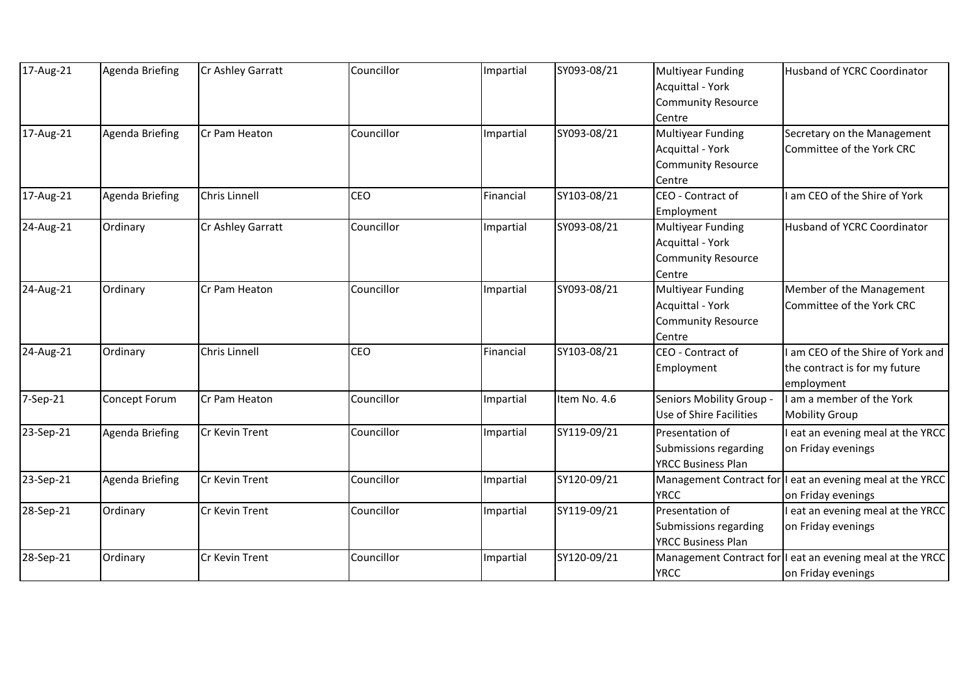| 17-Aug-21 | Agenda Briefing        | Cr Ashley Garratt | Councillor | Impartial | SY093-08/21  | <b>Multiyear Funding</b>  | Husband of YCRC Coordinator                               |
|-----------|------------------------|-------------------|------------|-----------|--------------|---------------------------|-----------------------------------------------------------|
|           |                        |                   |            |           |              | Acquittal - York          |                                                           |
|           |                        |                   |            |           |              | <b>Community Resource</b> |                                                           |
|           |                        |                   |            |           |              | Centre                    |                                                           |
| 17-Aug-21 | <b>Agenda Briefing</b> | Cr Pam Heaton     | Councillor | Impartial | SY093-08/21  | <b>Multiyear Funding</b>  | Secretary on the Management                               |
|           |                        |                   |            |           |              | <b>Acquittal - York</b>   | Committee of the York CRC                                 |
|           |                        |                   |            |           |              | <b>Community Resource</b> |                                                           |
|           |                        |                   |            |           |              | Centre                    |                                                           |
| 17-Aug-21 | <b>Agenda Briefing</b> | Chris Linnell     | <b>CEO</b> | Financial | SY103-08/21  | CEO - Contract of         | am CEO of the Shire of York                               |
|           |                        |                   |            |           |              | Employment                |                                                           |
| 24-Aug-21 | Ordinary               | Cr Ashley Garratt | Councillor | Impartial | SY093-08/21  | <b>Multiyear Funding</b>  | Husband of YCRC Coordinator                               |
|           |                        |                   |            |           |              | Acquittal - York          |                                                           |
|           |                        |                   |            |           |              | <b>Community Resource</b> |                                                           |
|           |                        |                   |            |           |              | Centre                    |                                                           |
| 24-Aug-21 | Ordinary               | Cr Pam Heaton     | Councillor | Impartial | SY093-08/21  | <b>Multiyear Funding</b>  | Member of the Management                                  |
|           |                        |                   |            |           |              | <b>Acquittal - York</b>   | Committee of the York CRC                                 |
|           |                        |                   |            |           |              | <b>Community Resource</b> |                                                           |
|           |                        |                   |            |           |              | Centre                    |                                                           |
| 24-Aug-21 | Ordinary               | Chris Linnell     | <b>CEO</b> | Financial | SY103-08/21  | CEO - Contract of         | am CEO of the Shire of York and                           |
|           |                        |                   |            |           |              | Employment                | the contract is for my future                             |
|           |                        |                   |            |           |              |                           | employment                                                |
| 7-Sep-21  | Concept Forum          | Cr Pam Heaton     | Councillor | Impartial | Item No. 4.6 | Seniors Mobility Group -  | I am a member of the York                                 |
|           |                        |                   |            |           |              | Use of Shire Facilities   | <b>Mobility Group</b>                                     |
| 23-Sep-21 | Agenda Briefing        | Cr Kevin Trent    | Councillor | Impartial | SY119-09/21  | Presentation of           | eat an evening meal at the YRCC                           |
|           |                        |                   |            |           |              | Submissions regarding     | on Friday evenings                                        |
|           |                        |                   |            |           |              | <b>YRCC Business Plan</b> |                                                           |
| 23-Sep-21 | <b>Agenda Briefing</b> | Cr Kevin Trent    | Councillor | Impartial | SY120-09/21  |                           | Management Contract for I eat an evening meal at the YRCC |
|           |                        |                   |            |           |              | <b>YRCC</b>               | on Friday evenings                                        |
| 28-Sep-21 | Ordinary               | Cr Kevin Trent    | Councillor | Impartial | SY119-09/21  | Presentation of           | eat an evening meal at the YRCC                           |
|           |                        |                   |            |           |              | Submissions regarding     | on Friday evenings                                        |
|           |                        |                   |            |           |              | <b>YRCC Business Plan</b> |                                                           |
| 28-Sep-21 | Ordinary               | Cr Kevin Trent    | Councillor | Impartial | SY120-09/21  | Management Contract for   | eat an evening meal at the YRCC                           |
|           |                        |                   |            |           |              | <b>YRCC</b>               | on Friday evenings                                        |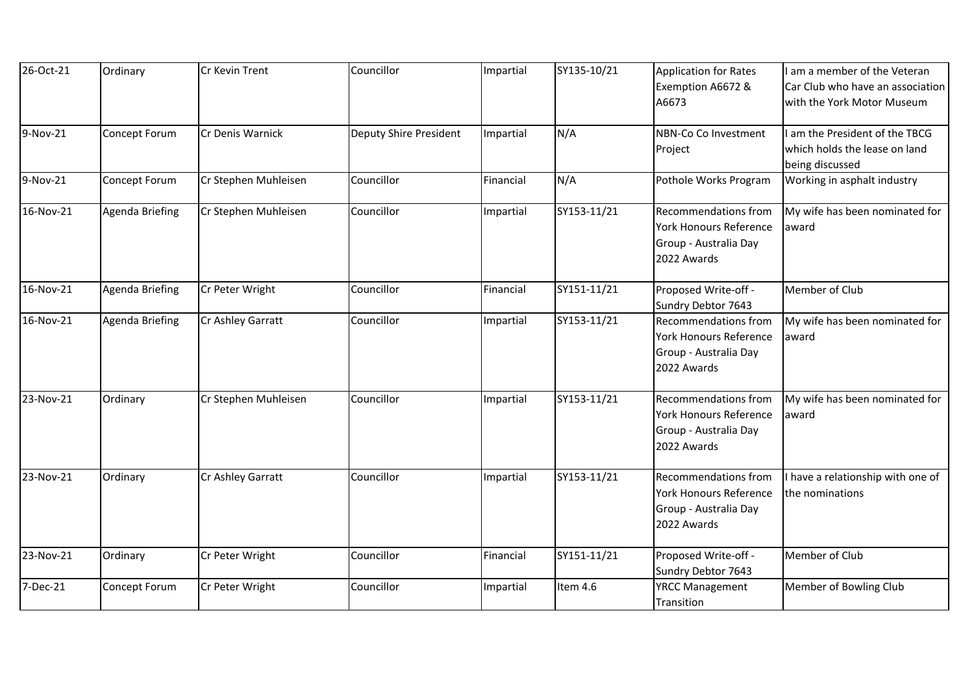| 26-Oct-21 | Ordinary               | Cr Kevin Trent       | Councillor             | Impartial | SY135-10/21 | <b>Application for Rates</b>         | am a member of the Veteran        |
|-----------|------------------------|----------------------|------------------------|-----------|-------------|--------------------------------------|-----------------------------------|
|           |                        |                      |                        |           |             | Exemption A6672 &                    | Car Club who have an association  |
|           |                        |                      |                        |           |             | A6673                                | with the York Motor Museum        |
| 9-Nov-21  | Concept Forum          | Cr Denis Warnick     | Deputy Shire President | Impartial | N/A         | NBN-Co Co Investment                 | am the President of the TBCG      |
|           |                        |                      |                        |           |             | Project                              | which holds the lease on land     |
|           |                        |                      |                        |           |             |                                      | being discussed                   |
| 9-Nov-21  | Concept Forum          | Cr Stephen Muhleisen | Councillor             | Financial | N/A         | Pothole Works Program                | Working in asphalt industry       |
| 16-Nov-21 | <b>Agenda Briefing</b> | Cr Stephen Muhleisen | Councillor             | Impartial | SY153-11/21 | <b>Recommendations from</b>          | My wife has been nominated for    |
|           |                        |                      |                        |           |             | <b>York Honours Reference</b>        | award                             |
|           |                        |                      |                        |           |             | Group - Australia Day                |                                   |
|           |                        |                      |                        |           |             | 2022 Awards                          |                                   |
| 16-Nov-21 | Agenda Briefing        | Cr Peter Wright      | Councillor             | Financial | SY151-11/21 | Proposed Write-off -                 | Member of Club                    |
|           |                        |                      |                        |           |             | Sundry Debtor 7643                   |                                   |
| 16-Nov-21 | Agenda Briefing        | Cr Ashley Garratt    | Councillor             | Impartial | SY153-11/21 | Recommendations from                 | My wife has been nominated for    |
|           |                        |                      |                        |           |             | <b>York Honours Reference</b>        | award                             |
|           |                        |                      |                        |           |             | Group - Australia Day                |                                   |
|           |                        |                      |                        |           |             | 2022 Awards                          |                                   |
| 23-Nov-21 | Ordinary               | Cr Stephen Muhleisen | Councillor             | Impartial | SY153-11/21 | <b>Recommendations from</b>          | My wife has been nominated for    |
|           |                        |                      |                        |           |             | York Honours Reference               | award                             |
|           |                        |                      |                        |           |             | Group - Australia Day                |                                   |
|           |                        |                      |                        |           |             | 2022 Awards                          |                                   |
| 23-Nov-21 | Ordinary               | Cr Ashley Garratt    | Councillor             | Impartial | SY153-11/21 | <b>Recommendations from</b>          | I have a relationship with one of |
|           |                        |                      |                        |           |             | <b>York Honours Reference</b>        | the nominations                   |
|           |                        |                      |                        |           |             | Group - Australia Day                |                                   |
|           |                        |                      |                        |           |             | 2022 Awards                          |                                   |
| 23-Nov-21 | Ordinary               | Cr Peter Wright      | Councillor             | Financial | SY151-11/21 | Proposed Write-off -                 | Member of Club                    |
|           |                        |                      |                        |           |             | Sundry Debtor 7643                   |                                   |
| 7-Dec-21  | Concept Forum          | Cr Peter Wright      | Councillor             | Impartial | Item 4.6    | <b>YRCC Management</b><br>Transition | Member of Bowling Club            |